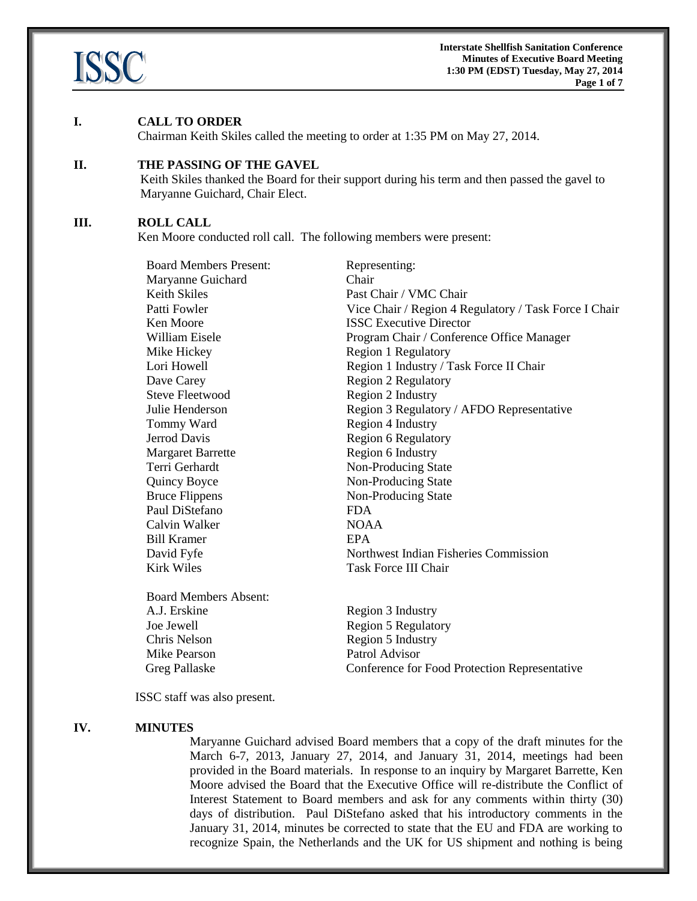

#### **I. CALL TO ORDER**

Chairman Keith Skiles called the meeting to order at 1:35 PM on May 27, 2014.

# **II. THE PASSING OF THE GAVEL**

Keith Skiles thanked the Board for their support during his term and then passed the gavel to Maryanne Guichard, Chair Elect.

#### **III. ROLL CALL**

Ken Moore conducted roll call. The following members were present:

| <b>Board Members Present:</b> | Representing:                                         |
|-------------------------------|-------------------------------------------------------|
| Maryanne Guichard             | Chair                                                 |
| <b>Keith Skiles</b>           | Past Chair / VMC Chair                                |
| Patti Fowler                  | Vice Chair / Region 4 Regulatory / Task Force I Chair |
| Ken Moore                     | <b>ISSC Executive Director</b>                        |
| William Eisele                | Program Chair / Conference Office Manager             |
| Mike Hickey                   | <b>Region 1 Regulatory</b>                            |
| Lori Howell                   | Region 1 Industry / Task Force II Chair               |
| Dave Carey                    | <b>Region 2 Regulatory</b>                            |
| <b>Steve Fleetwood</b>        | Region 2 Industry                                     |
| Julie Henderson               | Region 3 Regulatory / AFDO Representative             |
| Tommy Ward                    | Region 4 Industry                                     |
| Jerrod Davis                  | <b>Region 6 Regulatory</b>                            |
| <b>Margaret Barrette</b>      | Region 6 Industry                                     |
| Terri Gerhardt                | Non-Producing State                                   |
| <b>Quincy Boyce</b>           | Non-Producing State                                   |
| <b>Bruce Flippens</b>         | Non-Producing State                                   |
| Paul DiStefano                | <b>FDA</b>                                            |
| Calvin Walker                 | <b>NOAA</b>                                           |
| <b>Bill Kramer</b>            | <b>EPA</b>                                            |
| David Fyfe                    | Northwest Indian Fisheries Commission                 |
| <b>Kirk Wiles</b>             | <b>Task Force III Chair</b>                           |
| <b>Board Members Absent:</b>  |                                                       |
| A.J. Erskine                  | Region 3 Industry                                     |
| Joe Jewell                    | <b>Region 5 Regulatory</b>                            |
| Chris Nelson                  | Region 5 Industry                                     |

Greg Pallaske Conference for Food Protection Representative

ISSC staff was also present.

Mike Pearson Patrol Advisor

#### **IV. MINUTES**

Maryanne Guichard advised Board members that a copy of the draft minutes for the March 6-7, 2013, January 27, 2014, and January 31, 2014, meetings had been provided in the Board materials. In response to an inquiry by Margaret Barrette, Ken Moore advised the Board that the Executive Office will re-distribute the Conflict of Interest Statement to Board members and ask for any comments within thirty (30) days of distribution. Paul DiStefano asked that his introductory comments in the January 31, 2014, minutes be corrected to state that the EU and FDA are working to recognize Spain, the Netherlands and the UK for US shipment and nothing is being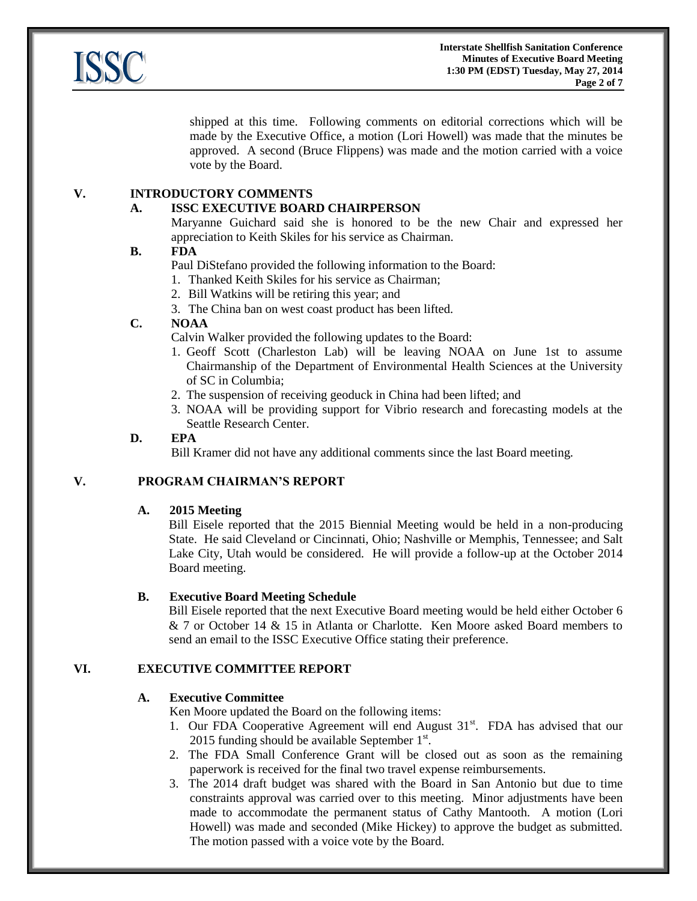

shipped at this time. Following comments on editorial corrections which will be made by the Executive Office, a motion (Lori Howell) was made that the minutes be approved. A second (Bruce Flippens) was made and the motion carried with a voice vote by the Board.

# **V. INTRODUCTORY COMMENTS**

# **A. ISSC EXECUTIVE BOARD CHAIRPERSON**

Maryanne Guichard said she is honored to be the new Chair and expressed her appreciation to Keith Skiles for his service as Chairman.

# **B. FDA**

Paul DiStefano provided the following information to the Board:

1. Thanked Keith Skiles for his service as Chairman;

- 2. Bill Watkins will be retiring this year; and
- 3. The China ban on west coast product has been lifted.

# **C. NOAA**

Calvin Walker provided the following updates to the Board:

- 1. Geoff Scott (Charleston Lab) will be leaving NOAA on June 1st to assume Chairmanship of the Department of Environmental Health Sciences at the University of SC in Columbia;
- 2. The suspension of receiving geoduck in China had been lifted; and
- 3. NOAA will be providing support for Vibrio research and forecasting models at the Seattle Research Center.

# **D. EPA**

Bill Kramer did not have any additional comments since the last Board meeting.

# **V. PROGRAM CHAIRMAN'S REPORT**

# **A. 2015 Meeting**

Bill Eisele reported that the 2015 Biennial Meeting would be held in a non-producing State. He said Cleveland or Cincinnati, Ohio; Nashville or Memphis, Tennessee; and Salt Lake City, Utah would be considered. He will provide a follow-up at the October 2014 Board meeting.

# **B. Executive Board Meeting Schedule**

Bill Eisele reported that the next Executive Board meeting would be held either October 6 & 7 or October 14 & 15 in Atlanta or Charlotte. Ken Moore asked Board members to send an email to the ISSC Executive Office stating their preference.

# **VI. EXECUTIVE COMMITTEE REPORT**

# **A. Executive Committee**

Ken Moore updated the Board on the following items:

- 1. Our FDA Cooperative Agreement will end August 31<sup>st</sup>. FDA has advised that our 2015 funding should be available September  $1<sup>st</sup>$ .
- 2. The FDA Small Conference Grant will be closed out as soon as the remaining paperwork is received for the final two travel expense reimbursements.
- 3. The 2014 draft budget was shared with the Board in San Antonio but due to time constraints approval was carried over to this meeting. Minor adjustments have been made to accommodate the permanent status of Cathy Mantooth. A motion (Lori Howell) was made and seconded (Mike Hickey) to approve the budget as submitted. The motion passed with a voice vote by the Board.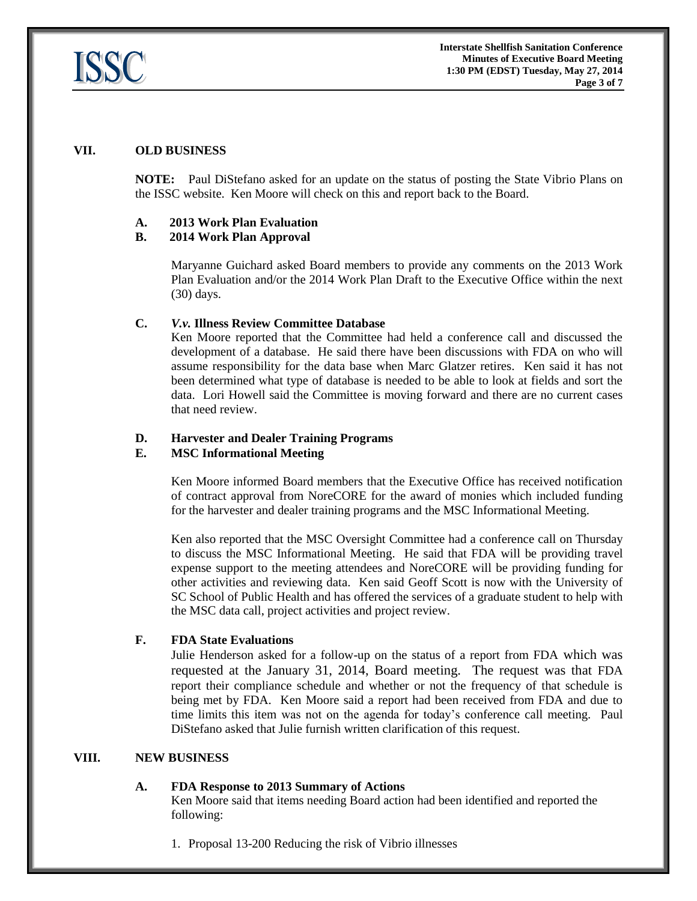

### **VII. OLD BUSINESS**

**NOTE:** Paul DiStefano asked for an update on the status of posting the State Vibrio Plans on the ISSC website. Ken Moore will check on this and report back to the Board.

### **A. 2013 Work Plan Evaluation**

### **B. 2014 Work Plan Approval**

Maryanne Guichard asked Board members to provide any comments on the 2013 Work Plan Evaluation and/or the 2014 Work Plan Draft to the Executive Office within the next (30) days.

### **C.** *V.v.* **Illness Review Committee Database**

Ken Moore reported that the Committee had held a conference call and discussed the development of a database. He said there have been discussions with FDA on who will assume responsibility for the data base when Marc Glatzer retires. Ken said it has not been determined what type of database is needed to be able to look at fields and sort the data. Lori Howell said the Committee is moving forward and there are no current cases that need review.

### **D. Harvester and Dealer Training Programs**

### **E. MSC Informational Meeting**

Ken Moore informed Board members that the Executive Office has received notification of contract approval from NoreCORE for the award of monies which included funding for the harvester and dealer training programs and the MSC Informational Meeting.

Ken also reported that the MSC Oversight Committee had a conference call on Thursday to discuss the MSC Informational Meeting. He said that FDA will be providing travel expense support to the meeting attendees and NoreCORE will be providing funding for other activities and reviewing data. Ken said Geoff Scott is now with the University of SC School of Public Health and has offered the services of a graduate student to help with the MSC data call, project activities and project review.

### **F. FDA State Evaluations**

Julie Henderson asked for a follow-up on the status of a report from FDA which was requested at the January 31, 2014, Board meeting. The request was that FDA report their compliance schedule and whether or not the frequency of that schedule is being met by FDA. Ken Moore said a report had been received from FDA and due to time limits this item was not on the agenda for today's conference call meeting. Paul DiStefano asked that Julie furnish written clarification of this request.

# **VIII. NEW BUSINESS**

### **A. FDA Response to 2013 Summary of Actions**

Ken Moore said that items needing Board action had been identified and reported the following:

1. Proposal 13-200 Reducing the risk of Vibrio illnesses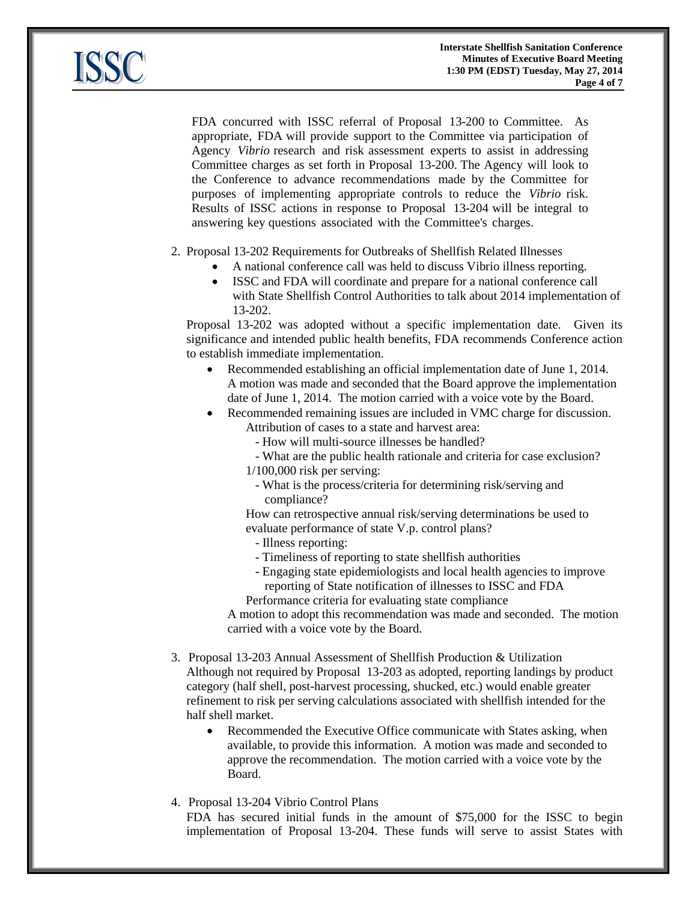

FDA concurred with ISSC referral of Proposal 13-200 to Committee. As appropriate, FDA will provide support to the Committee via participation of Agency *Vibrio* research and risk assessment experts to assist in addressing Committee charges as set forth in Proposal 13-200. The Agency will look to the Conference to advance recommendations made by the Committee for purposes of implementing appropriate controls to reduce the *Vibrio* risk. Results of ISSC actions in response to Proposal 13-204 will be integral to answering key questions associated with the Committee's charges.

2. Proposal 13-202 Requirements for Outbreaks of Shellfish Related Illnesses

- A national conference call was held to discuss Vibrio illness reporting.
- ISSC and FDA will coordinate and prepare for a national conference call with State Shellfish Control Authorities to talk about 2014 implementation of 13-202.

Proposal 13-202 was adopted without a specific implementation date. Given its significance and intended public health benefits, FDA recommends Conference action to establish immediate implementation.

- Recommended establishing an official implementation date of June 1, 2014. A motion was made and seconded that the Board approve the implementation date of June 1, 2014. The motion carried with a voice vote by the Board.
- Recommended remaining issues are included in VMC charge for discussion.
	- Attribution of cases to a state and harvest area:
		- How will multi-source illnesses be handled?
		- What are the public health rationale and criteria for case exclusion?

1/100,000 risk per serving:

 - What is the process/criteria for determining risk/serving and compliance?

How can retrospective annual risk/serving determinations be used to evaluate performance of state V.p. control plans?

- Illness reporting:
- Timeliness of reporting to state shellfish authorities
- Engaging state epidemiologists and local health agencies to improve reporting of State notification of illnesses to ISSC and FDA

Performance criteria for evaluating state compliance

A motion to adopt this recommendation was made and seconded. The motion carried with a voice vote by the Board.

- 3. Proposal 13-203 Annual Assessment of Shellfish Production & Utilization Although not required by Proposal 13-203 as adopted, reporting landings by product category (half shell, post-harvest processing, shucked, etc.) would enable greater refinement to risk per serving calculations associated with shellfish intended for the half shell market.
	- Recommended the Executive Office communicate with States asking, when available, to provide this information. A motion was made and seconded to approve the recommendation. The motion carried with a voice vote by the Board.
- 4. Proposal 13-204 Vibrio Control Plans

FDA has secured initial funds in the amount of \$75,000 for the ISSC to begin implementation of Proposal 13-204. These funds will serve to assist States with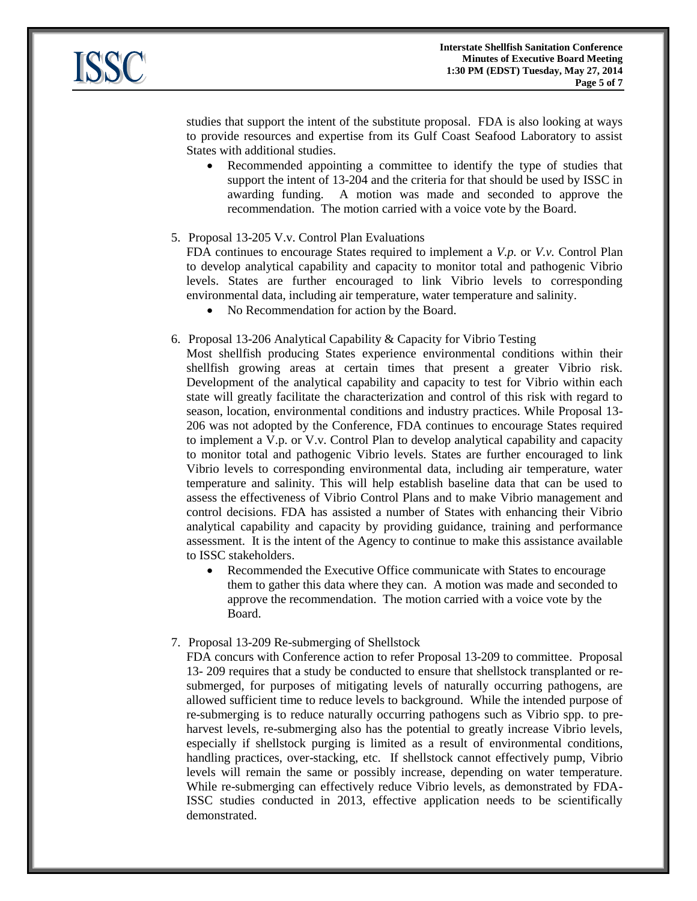

studies that support the intent of the substitute proposal. FDA is also looking at ways to provide resources and expertise from its Gulf Coast Seafood Laboratory to assist States with additional studies.

- Recommended appointing a committee to identify the type of studies that support the intent of 13-204 and the criteria for that should be used by ISSC in awarding funding. A motion was made and seconded to approve the recommendation. The motion carried with a voice vote by the Board.
- 5. Proposal 13-205 V.v. Control Plan Evaluations

FDA continues to encourage States required to implement a *V.p.* or *V.v.* Control Plan to develop analytical capability and capacity to monitor total and pathogenic Vibrio levels. States are further encouraged to link Vibrio levels to corresponding environmental data, including air temperature, water temperature and salinity.

- No Recommendation for action by the Board.
- 6. Proposal 13-206 Analytical Capability & Capacity for Vibrio Testing
	- Most shellfish producing States experience environmental conditions within their shellfish growing areas at certain times that present a greater Vibrio risk. Development of the analytical capability and capacity to test for Vibrio within each state will greatly facilitate the characterization and control of this risk with regard to season, location, environmental conditions and industry practices. While Proposal 13- 206 was not adopted by the Conference, FDA continues to encourage States required to implement a V.p. or V.v. Control Plan to develop analytical capability and capacity to monitor total and pathogenic Vibrio levels. States are further encouraged to link Vibrio levels to corresponding environmental data, including air temperature, water temperature and salinity. This will help establish baseline data that can be used to assess the effectiveness of Vibrio Control Plans and to make Vibrio management and control decisions. FDA has assisted a number of States with enhancing their Vibrio analytical capability and capacity by providing guidance, training and performance assessment. It is the intent of the Agency to continue to make this assistance available to ISSC stakeholders.
		- Recommended the Executive Office communicate with States to encourage them to gather this data where they can. A motion was made and seconded to approve the recommendation. The motion carried with a voice vote by the Board.
- 7. Proposal 13-209 Re-submerging of Shellstock

FDA concurs with Conference action to refer Proposal 13-209 to committee. Proposal 13- 209 requires that a study be conducted to ensure that shellstock transplanted or resubmerged, for purposes of mitigating levels of naturally occurring pathogens, are allowed sufficient time to reduce levels to background. While the intended purpose of re-submerging is to reduce naturally occurring pathogens such as Vibrio spp. to preharvest levels, re-submerging also has the potential to greatly increase Vibrio levels, especially if shellstock purging is limited as a result of environmental conditions, handling practices, over-stacking, etc. If shellstock cannot effectively pump, Vibrio levels will remain the same or possibly increase, depending on water temperature. While re-submerging can effectively reduce Vibrio levels, as demonstrated by FDA-ISSC studies conducted in 2013, effective application needs to be scientifically demonstrated.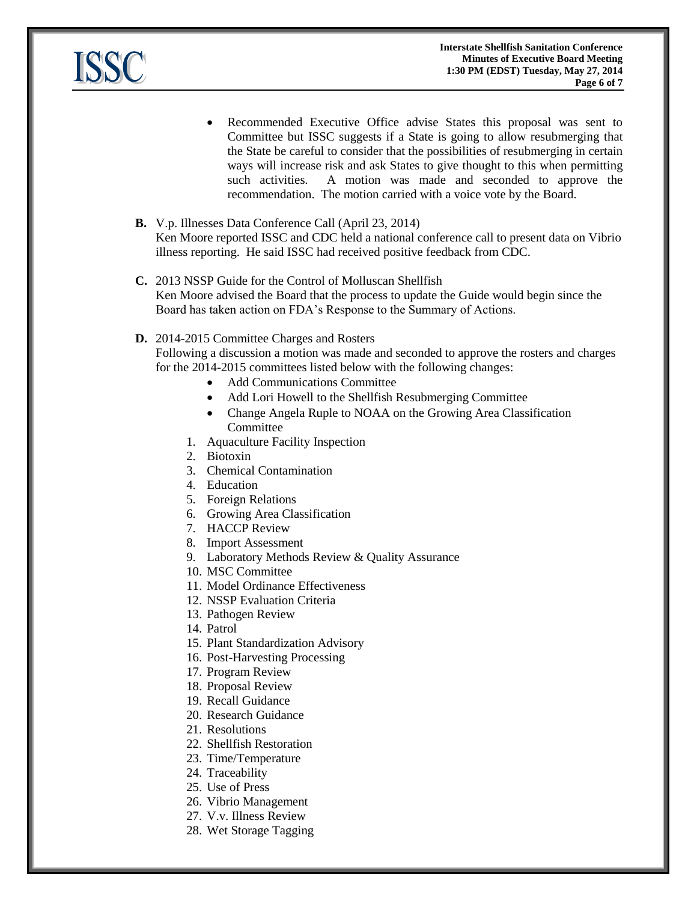

- Recommended Executive Office advise States this proposal was sent to Committee but ISSC suggests if a State is going to allow resubmerging that the State be careful to consider that the possibilities of resubmerging in certain ways will increase risk and ask States to give thought to this when permitting such activities. A motion was made and seconded to approve the recommendation. The motion carried with a voice vote by the Board.
- **B.** V.p. Illnesses Data Conference Call (April 23, 2014) Ken Moore reported ISSC and CDC held a national conference call to present data on Vibrio illness reporting. He said ISSC had received positive feedback from CDC.
- **C.** 2013 NSSP Guide for the Control of Molluscan Shellfish Ken Moore advised the Board that the process to update the Guide would begin since the Board has taken action on FDA's Response to the Summary of Actions.

### **D.** 2014-2015 Committee Charges and Rosters

Following a discussion a motion was made and seconded to approve the rosters and charges for the 2014-2015 committees listed below with the following changes:

- Add Communications Committee
- Add Lori Howell to the Shellfish Resubmerging Committee
- Change Angela Ruple to NOAA on the Growing Area Classification **Committee**
- 1. Aquaculture Facility Inspection
- 2. Biotoxin
- 3. Chemical Contamination

4. Education

- 5. Foreign Relations
- 6. Growing Area Classification
- 7. HACCP Review
- 8. Import Assessment
- 9. Laboratory Methods Review & Quality Assurance
- 10. MSC Committee
- 11. Model Ordinance Effectiveness
- 12. NSSP Evaluation Criteria
- 13. Pathogen Review
- 14. Patrol
- 15. Plant Standardization Advisory
- 16. Post-Harvesting Processing
- 17. Program Review
- 18. Proposal Review
- 19. Recall Guidance
- 20. Research Guidance
- 21. Resolutions
- 22. Shellfish Restoration
- 23. Time/Temperature
- 24. Traceability
- 25. Use of Press
- 26. Vibrio Management
- 27. V.v. Illness Review
- 28. Wet Storage Tagging